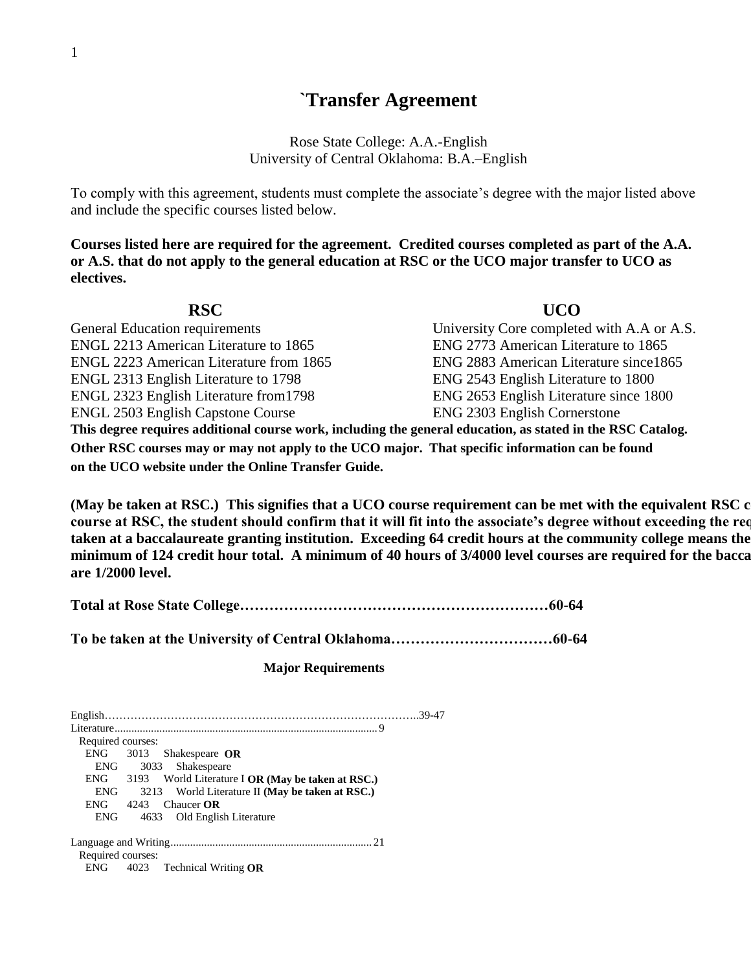## **`Transfer Agreement**

Rose State College: A.A.-English University of Central Oklahoma: B.A.–English

To comply with this agreement, students must complete the associate's degree with the major listed above and include the specific courses listed below.

**Courses listed here are required for the agreement. Credited courses completed as part of the A.A. or A.S. that do not apply to the general education at RSC or the UCO major transfer to UCO as electives.**

| <b>RSC</b>                                                                                                  | <b>UCO</b>                                 |  |  |  |
|-------------------------------------------------------------------------------------------------------------|--------------------------------------------|--|--|--|
| <b>General Education requirements</b>                                                                       | University Core completed with A.A or A.S. |  |  |  |
| ENGL 2213 American Literature to 1865                                                                       | ENG 2773 American Literature to 1865       |  |  |  |
| ENGL 2223 American Literature from 1865                                                                     | ENG 2883 American Literature since 1865    |  |  |  |
| ENGL 2313 English Literature to 1798                                                                        | ENG 2543 English Literature to 1800        |  |  |  |
| ENGL 2323 English Literature from 1798                                                                      | ENG 2653 English Literature since 1800     |  |  |  |
| <b>ENGL 2503 English Capstone Course</b>                                                                    | ENG 2303 English Cornerstone               |  |  |  |
| This degree requires additional course work, including the general education, as stated in the RSC Catalog. |                                            |  |  |  |
| Other RSC courses may or may not apply to the UCO major. That specific information can be found             |                                            |  |  |  |
| on the UCO website under the Online Transfer Guide.                                                         |                                            |  |  |  |

(May be taken at RSC.) This signifies that a UCO course requirement can be met with the equivalent RSC c course at RSC, the student should confirm that it will fit into the associate's degree without exceeding the red taken at a baccalaureate granting institution. Exceeding 64 credit hours at the community college means the minimum of 124 credit hour total. A minimum of 40 hours of 3/4000 level courses are required for the bacca **are 1/2000 level.**

|--|--|

**To be taken at the University of Central Oklahoma……………………………60-64**

## **Major Requirements**

| Required courses:                                      |  |
|--------------------------------------------------------|--|
| ENG 3013 Shakespeare OR                                |  |
| ENG<br>3033 Shakespeare                                |  |
| ENG 3193 World Literature I OR (May be taken at RSC.)  |  |
| ENG<br>3213 World Literature II (May be taken at RSC.) |  |
| <b>ENG</b><br>$4243$ Chaucer <b>OR</b>                 |  |
| ENG<br>4633 Old English Literature                     |  |
|                                                        |  |
|                                                        |  |
| Required courses:                                      |  |
| ENG 4023 Technical Writing OR                          |  |